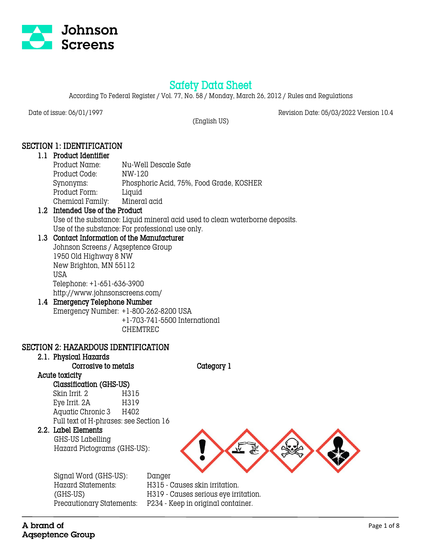

# Safety Data Sheet

According To Federal Register / Vol. 77, No. 58 / Monday, March 26, 2012 / Rules and Regulations

Date of issue: 06/01/1997 Revision Date: 05/03/2022 Version 10.4

(English US)

# SECTION 1: IDENTIFICATION

#### 1.1 Product Identifier

| Product Name:    | Nu-Well Descale Safe                     |
|------------------|------------------------------------------|
| Product Code:    | NW-120                                   |
| Synonyms:        | Phosphoric Acid, 75%, Food Grade, KOSHER |
| Product Form:    | Liquid                                   |
| Chemical Family: | Mineral acid                             |

# 1.2 Intended Use of the Product

Use of the substance: Liquid mineral acid used to clean waterborne deposits. Use of the substance: For professional use only.

# 1.3 Contact Information of the Manufacturer

Johnson Screens / Aqseptence Group 1950 Old Highway 8 NW New Brighton, MN 55112 USA Telephone: +1-651-636-3900 http://www.johnsonscreens.com/

# 1.4 Emergency Telephone Number

Emergency Number: +1-800-262-8200 USA +1-703-741-5500 International CHEMTREC

#### SECTION 2: HAZARDOUS IDENTIFICATION

# 2.1. Physical Hazards

Corrosive to metals Category 1

# Acute toxicity

Classification (GHS-US) Skin Irrit. 2 H315 Eye Irrit. 2A H319 Aquatic Chronic 3 H402 Full text of H-phrases: see Section 16

## 2.2. Label Elements

 GHS-US Labelling Hazard Pictograms (GHS-US):



Signal Word (GHS-US): Danger

 $H315$  - Causes skin irritation.

(GHS-US) H319 - Causes serious eye irritation.

Precautionary Statements: P234 - Keep in original container.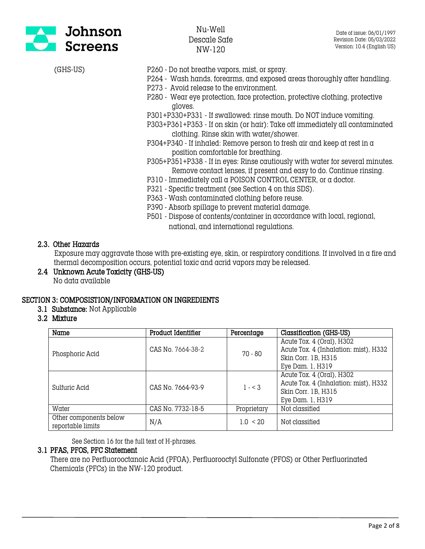

- (GHS-US) P260 Do not breathe vapors, mist, or spray.
	- P264 Wash hands, forearms, and exposed areas thoroughly after handling.
	- P273 Avoid release to the environment.
	- P280 Wear eye protection, face protection, protective clothing, protective gloves.
	- P301+P330+P331 If swallowed: rinse mouth. Do NOT induce vomiting.
	- P303+P361+P353 If on skin (or hair): Take off immediately all contaminated clothing. Rinse skin with water/shower.
	- P304+P340 If inhaled: Remove person to fresh air and keep at rest in  $\alpha$ position comfortable for breathing.
	- P305+P351+P338 If in eyes: Rinse cautiously with water for several minutes. Remove contact lenses, if present and easy to do. Continue rinsing.
	- P310 Immediately call a POISON CONTROL CENTER, or a doctor.
	- P321 Specific treatment (see Section 4 on this SDS).
	- P363 Wash contaminated clothing before reuse.
	- P390 Absorb spillage to prevent material damage.
	- P501 Dispose of contents/container in accordance with local, regional, national, and international regulations.

## 2.3. Other Hazards

 Exposure may aggravate those with pre-existing eye, skin, or respiratory conditions. If involved in a fire and thermal decomposition occurs, potential toxic and acrid vapors may be released.

2.4 Unknown Acute Toxicity (GHS-US) No data available

# SECTION 3: COMPOSISTION/INFORMATION ON INGREDIENTS

- 3.1 Substance: Not Applicable
- 3.2 Mixture

| Name                                        | <b>Product Identifier</b> | Percentage   | Classification (GHS-US)               |
|---------------------------------------------|---------------------------|--------------|---------------------------------------|
|                                             |                           | $70 - 80$    | Acute Tox. 4 (Oral), H302             |
| Phosphoric Acid                             | CAS No. 7664-38-2         |              | Acute Tox. 4 (Inhalation: mist), H332 |
|                                             |                           |              | Skin Corr. 1B, H315                   |
|                                             |                           |              | Eye Dam. 1, H319                      |
| Sulfuric Acid                               | CAS No. 7664-93-9         | $1 - 3$      | Acute Tox. 4 (Oral), H302             |
|                                             |                           |              | Acute Tox. 4 (Inhalation: mist), H332 |
|                                             |                           |              | Skin Corr. 1B, H315                   |
|                                             |                           |              | Eye Dam. 1, H319                      |
| Water                                       | CAS No. 7732-18-5         | Proprietary  | Not classified                        |
| Other components below<br>reportable limits | N/A                       | $1.0 \le 20$ | Not classified                        |

See Section 16 for the full text of H-phrases.

#### 3.1 PFAS, PFOS, PFC Statement

 There are no Perfluorooctanoic Acid (PFOA), Perfluorooctyl Sulfonate (PFOS) or Other Perfluorinated Chemicals (PFCs) in the NW-120 product.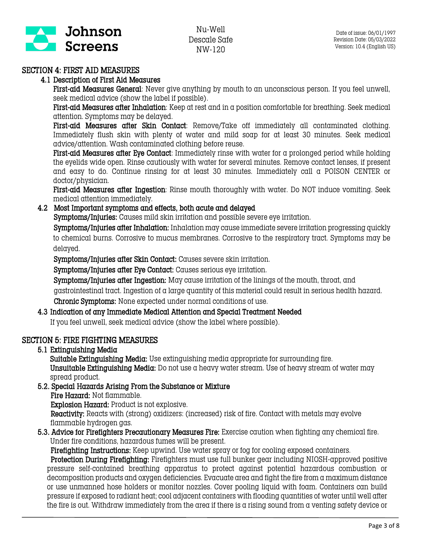

# SECTION 4: FIRST AID MEASURES

## 4.1 Description of First Aid Measures

First-aid Measures General: Never give anything by mouth to an unconscious person. If you feel unwell, seek medical advice (show the label if possible).

First-aid Measures after Inhalation: Keep at rest and in a position comfortable for breathing. Seek medical attention. Symptoms may be delayed.

First-aid Measures after Skin Contact: Remove/Take off immediately all contaminated clothing. Immediately flush skin with plenty of water and mild soap for at least 30 minutes. Seek medical advice/attention. Wash contaminated clothing before reuse.

First-aid Measures after Eye Contact: Immediately rinse with water for a prolonged period while holding the eyelids wide open. Rinse cautiously with water for several minutes. Remove contact lenses, if present and easy to do. Continue rinsing for at least 30 minutes. Immediately call a POISON CENTER or doctor/physician.

First-aid Measures after Ingestion: Rinse mouth thoroughly with water. Do NOT induce vomiting. Seek medical attention immediately.

## 4.2 Most Important symptoms and effects, both acute and delayed

Symptoms/Injuries: Causes mild skin irritation and possible severe eye irritation.

 Symptoms/Injuries after Inhalation: Inhalation may cause immediate severe irritation progressing quickly to chemical burns. Corrosive to mucus membranes. Corrosive to the respiratory tract. Symptoms may be delayed.

Symptoms/Injuries after Skin Contact: Causes severe skin irritation.

Symptoms/Injuries after Eye Contact: Causes serious eye irritation.

Symptoms/Injuries after Ingestion: May cause irritation of the linings of the mouth, throat, and gastrointestinal tract. Ingestion of a large quantity of this material could result in serious health hazard. Chronic Symptoms: None expected under normal conditions of use.

## 4.3 Indication of any Immediate Medical Attention and Special Treatment Needed

If you feel unwell, seek medical advice (show the label where possible).

## SECTION 5: FIRE FIGHTING MEASURES

5.1 Extinguishing Media

Suitable Extinguishing Media: Use extinguishing media appropriate for surrounding fire. Unsuitable Extinguishing Media: Do not use a heavy water stream. Use of heavy stream of water may spread product.

- 5.2. Special Hazards Arising From the Substance or Mixture
	- Fire Hazard: Not flammable.

Explosion Hazard: Product is not explosive.

 Reactivity: Reacts with (strong) oxidizers: (increased) risk of fire. Contact with metals may evolve flammable hydrogen gas.

5.3. Advice for Firefighters Precautionary Measures Fire: Exercise caution when fighting any chemical fire. Under fire conditions, hazardous fumes will be present.

Firefighting Instructions: Keep upwind. Use water spray or fog for cooling exposed containers.

 Protection During Firefighting: Firefighters must use full bunker gear including NIOSH-approved positive pressure self-contained breathing apparatus to protect against potential hazardous combustion or decomposition products and oxygen deficiencies. Evacuate area and fight the fire from a maximum distance or use unmanned hose holders or monitor nozzles. Cover pooling liquid with foam. Containers can build pressure if exposed to radiant heat; cool adjacent containers with flooding quantities of water until well after the fire is out. Withdraw immediately from the area if there is a rising sound from a venting safety device or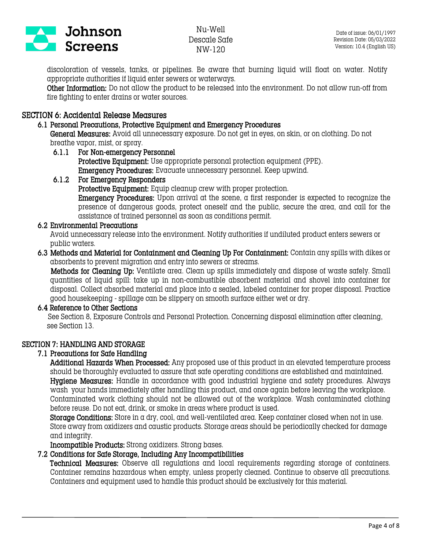

discoloration of vessels, tanks, or pipelines. Be aware that burning liquid will float on water. Notify appropriate authorities if liquid enter sewers or waterways.

Other Information: Do not allow the product to be released into the environment. Do not allow run-off from fire fighting to enter drains or water sources.

# SECTION 6: Accidental Release Measures

#### 6.1 Personal Precautions, Protective Equipment and Emergency Procedures

General Measures: Avoid all unnecessary exposure. Do not get in eyes, on skin, or on clothing. Do not breathe vapor, mist, or spray.

#### 6.1.1 For Non-emergency Personnel Protective Equipment: Use appropriate personal protection equipment (PPE). Emergency Procedures: Evacuate unnecessary personnel. Keep upwind.

# 6.1.2 For Emergency Responders

Protective Equipment: Equip cleanup crew with proper protection.

Emergency Procedures: Upon arrival at the scene, a first responder is expected to recognize the presence of dangerous goods, protect oneself and the public, secure the area, and call for the assistance of trained personnel as soon as conditions permit.

## 6.2 Environmental Precautions

Avoid unnecessary release into the environment. Notify authorities if undiluted product enters sewers or public waters.

#### 6.3 Methods and Material for Containment and Cleaning Up For Containment: Contain any spills with dikes or absorbents to prevent migration and entry into sewers or streams.

 Methods for Cleaning Up: Ventilate area. Clean up spills immediately and dispose of waste safely. Small quantities of liquid spill: take up in non-combustible absorbent material and shovel into container for disposal. Collect absorbed material and place into a sealed, labeled container for proper disposal. Practice good housekeeping - spillage can be slippery on smooth surface either wet or dry.

## 6.4 Reference to Other Sections

 See Section 8, Exposure Controls and Personal Protection. Concerning disposal elimination after cleaning, see Section 13.

## SECTION 7: HANDLING AND STORAGE

## 7.1 Precautions for Safe Handling

Additional Hazards When Processed: Any proposed use of this product in an elevated temperature process should be thoroughly evaluated to assure that safe operating conditions are established and maintained. Hygiene Measures: Handle in accordance with good industrial hygiene and safety procedures. Always wash your hands immediately after handling this product, and once again before leaving the workplace. Contaminated work clothing should not be allowed out of the workplace. Wash contaminated clothing before reuse. Do not eat, drink, or smoke in areas where product is used.

Storage Conditions: Store in a dry, cool, and well-ventilated area. Keep container closed when not in use. Store away from oxidizers and caustic products. Storage areas should be periodically checked for damage and integrity.

Incompatible Products: Strong oxidizers. Strong bases.

## 7.2 Conditions for Safe Storage, Including Any Incompatibilities

Technical Measures: Observe all regulations and local requirements regarding storage of containers. Container remains hazardous when empty, unless properly cleaned. Continue to observe all precautions. Containers and equipment used to handle this product should be exclusively for this material.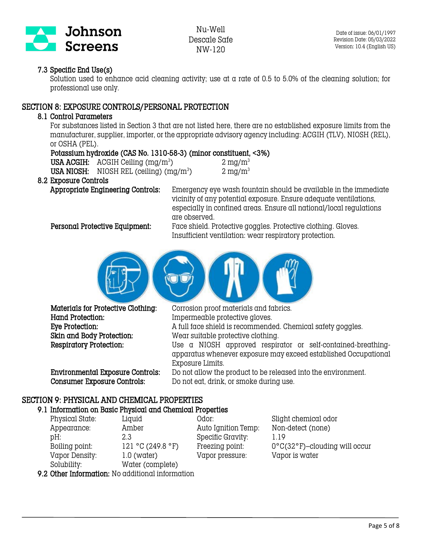

## 7.3 Specific End Use(s)

Solution used to enhance acid cleaning activity; use at a rate of 0.5 to 5.0% of the cleaning solution; for professional use only.

## SECTION 8: EXPOSURE CONTROLS/PERSONAL PROTECTION

#### 8.1 Control Parameters

For substances listed in Section 3 that are not listed here, there are no established exposure limits from the manufacturer, supplier, importer, or the appropriate advisory agency including: ACGIH (TLV), NIOSH (REL), or OSHA (PEL).

#### Potassium hydroxide (CAS No. 1310-58-3) (minor constituent, <3%)

| USA ACGIH: $\text{ACGIH}$ Ceiling (mg/m <sup>3</sup> ) | $2 \text{ mg/m}^3$    |
|--------------------------------------------------------|-----------------------|
| USA NIOSH: NIOSH REL (ceiling) $(mg/m^3)$              | $2 \,\mathrm{mg/m^3}$ |
|                                                        |                       |

#### 8.2 Exposure Controls

Appropriate Engineering Controls: Emergency eye wash fountain should be available in the immediate vicinity of any potential exposure. Ensure adequate ventilations, especially in confined areas. Ensure all national/local regulations are observed.

 Personal Protective Equipment: Face shield. Protective goggles. Protective clothing. Gloves. Insufficient ventilation: wear respiratory protection.



Hand Protection: Impermeable protective gloves.

Materials for Protective Clothing: Corrosion proof materials and fabrics. Eye Protection: A full face shield is recommended. Chemical safety goggles. Skin and Body Protection: Wear suitable protective clothing. Respiratory Protection: Use a NIOSH approved respirator or self-contained-breathingapparatus whenever exposure may exceed established Occupational Exposure Limits. Environmental Exposure Controls: Do not allow the product to be released into the environment.

Consumer Exposure Controls: Do not eat, drink, or smoke during use.

## SECTION 9: PHYSICAL AND CHEMICAL PROPERTIES

#### 9.1 Information on Basic Physical and Chemical Properties

Physical State: Liquid Odor: Slight chemical odor Appearance: Amber Auto Ignition Temp: Non-detect (none) pH: 2.3 Specific Gravity: 1.19 Boiling point: 121 °C (249.8 °F) Freezing point: 0°C(32 °F)–clouding will occur Vapor Density: 1.0 (water) Vapor pressure: Vapor is water Solubility: Water (complete) 9.2 Other Information: No additional information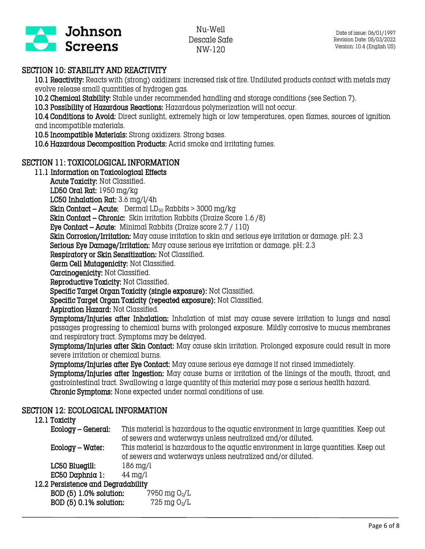

# SECTION 10: STABILITY AND REACTIVITY

10.1 Reactivity: Reacts with (strong) oxidizers: increased risk of fire. Undiluted products contact with metals may evolve release small quantities of hydrogen gas.

10.2 Chemical Stability: Stable under recommended handling and storage conditions (see Section 7).

10.3 Possibility of Hazardous Reactions: Hazardous polymerization will not occur.

10.4 Conditions to Avoid: Direct sunlight, extremely high or low temperatures, open flames, sources of ignition and incompatible materials.

10.5 Incompatible Materials: Strong oxidizers. Strong bases.

10.6 Hazardous Decomposition Products: Acrid smoke and irritating fumes.

# SECTION 11: TOXICOLOGICAL INFORMATION

## 11.1 Information on Toxicological Effects

Acute Toxicity: Not Classified.

LD50 Oral Rat: 1950 mg/kg

LC50 Inhalation Rat: 3.6 mg/l/4h

**Skin Contact – Acute:** Dermal  $LD_{50}$  Rabbits > 3000 mg/kg

Skin Contact – Chronic: Skin irritation Rabbits (Draize Score 1.6 /8)

Eye Contact – Acute: Minimal Rabbits (Draize score 2.7 / 110)

Skin Corrosion/Irritation: May cause irritation to skin and serious eye irritation or damage. pH: 2.3

Serious Eye Damage/Irritation: May cause serious eye irritation or damage. pH: 2.3

Respiratory or Skin Sensitization: Not Classified.

Germ Cell Mutagenicity: Not Classified.

Carcinogenicity: Not Classified.

Reproductive Toxicity: Not Classified.

Specific Target Organ Toxicity (single exposure): Not Classified.

Specific Target Organ Toxicity (repeated exposure): Not Classified.

Aspiration Hazard: Not Classified.

Symptoms/Injuries after Inhalation: Inhalation of mist may cause severe irritation to lungs and nasal passages progressing to chemical burns with prolonged exposure. Mildly corrosive to mucus membranes and respiratory tract. Symptoms may be delayed.

Symptoms/Injuries after Skin Contact: May cause skin irritation. Prolonged exposure could result in more severe irritation or chemical burns.

Symptoms/Injuries after Eye Contact: May cause serious eye damage if not rinsed immediately.

Symptoms/Injuries after Ingestion: May cause burns or irritation of the linings of the mouth, throat, and gastrointestinal tract. Swallowing a large quantity of this material may pose a serious health hazard. Chronic Symptoms: None expected under normal conditions of use.

## SECTION 12: ECOLOGICAL INFORMATION

## 12.1 Toxicity

| -------            |                                                                                                                                                   |
|--------------------|---------------------------------------------------------------------------------------------------------------------------------------------------|
| Ecology – General: | This material is hazardous to the aquatic environment in large quantities. Keep out<br>of sewers and waterways unless neutralized and/or diluted. |
| Ecology – Water:   | This material is hazardous to the aquatic environment in large quantities. Keep out<br>of sewers and waterways unless neutralized and/or diluted. |
| LC50 Bluegill:     | $186 \,\mathrm{mg}/l$                                                                                                                             |
| EC50 Daphnia 1:    | $44 \text{ mg/l}$                                                                                                                                 |
|                    |                                                                                                                                                   |

#### 12.2 Persistence and Degradability

| BOD (5) 1.0% solution: | 7950 mg $O_2/L$ |
|------------------------|-----------------|
| BOD (5) 0.1% solution: | 725 mg $O_2/L$  |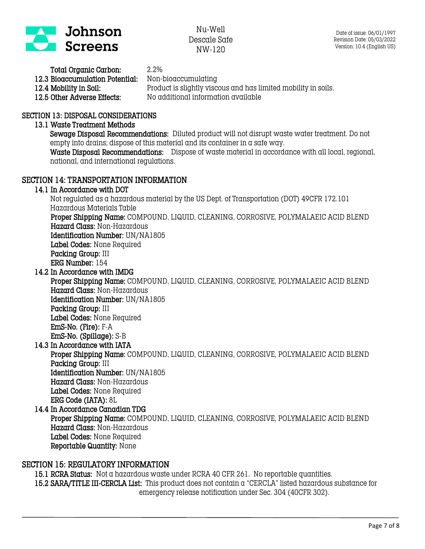

| Total Organic Carbon:           | 2.2%                                                           |
|---------------------------------|----------------------------------------------------------------|
| 12.3 Bioaccumulation Potential: | Non-bioaccumulating                                            |
| 12.4 Mobility in Soil:          | Product is slightly viscous and has limited mobility in soils. |
| 12.5 Other Adverse Effects:     | No additional information available                            |

#### SECTION 13: DISPOSAL CONSIDERATIONS

#### 13.1 Waste Treatment Methods

Sewage Disposal Recommendations: Diluted product will not disrupt waste water treatment. Do not empty into drains; dispose of this material and its container in a safe way.

Waste Disposal Recommendations: Dispose of waste material in accordance with all local, regional, national, and international regulations.

#### SECTION 14: TRANSPORTATION INFORMATION

#### 14.1 In Accordance with DOT

 Not regulated as a hazardous material by the US Dept. of Transportation (DOT) 49CFR 172.101 Hazardous Materials Table

 Proper Shipping Name: COMPOUND, LIQUID, CLEANING, CORROSIVE, POLYMALAEIC ACID BLEND Hazard Class: Non-Hazardous

Identification Number: UN/NA1805

Label Codes: None Required

Packing Group: III

ERG Number: 154

14.2 In Accordance with IMDG

 Proper Shipping Name: COMPOUND, LIQUID, CLEANING, CORROSIVE, POLYMALAEIC ACID BLEND Hazard Class: Non-Hazardous Identification Number: UN/NA1805 Packing Group: III Label Codes: None Required EmS-No. (Fire): F-A

EmS-No. (Spillage): S-B

14.3 In Accordance with IATA

 Proper Shipping Name: COMPOUND, LIQUID, CLEANING, CORROSIVE, POLYMALAEIC ACID BLEND Packing Group: III Identification Number: UN/NA1805 Hazard Class: Non-Hazardous Label Codes: None Required

ERG Code (IATA): 8L

14.4 In Accordance Canadian TDG Proper Shipping Name: COMPOUND, LIQUID, CLEANING, CORROSIVE, POLYMALAEIC ACID BLEND Hazard Class: Non-Hazardous Label Codes: None Required Reportable Quantity: None

#### SECTION 15: REGULATORY INFORMATION

15.1 RCRA Status: Not a hazardous waste under RCRA 40 CFR 261. No reportable quantities. 15.2 SARA/TITLE III-CERCLA List: This product does not contain a "CERCLA" listed hazardous substance for emergency release notification under Sec. 304 (40CFR 302).